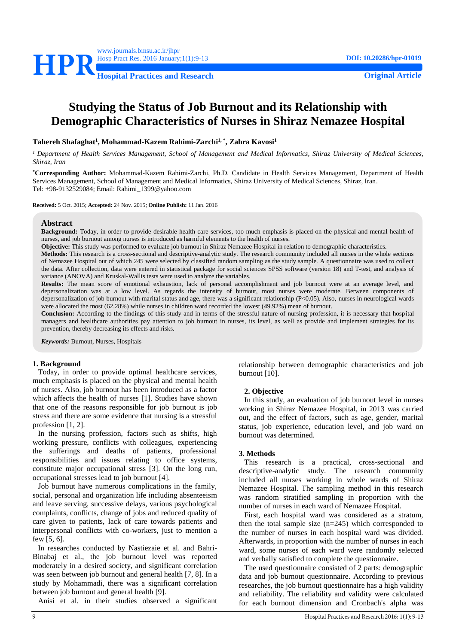

**Original Article**

# **Studying the Status of Job Burnout and its Relationship with Demographic Characteristics of Nurses in Shiraz Nemazee Hospital**

**Tahereh Shafaghat<sup>1</sup> , Mohammad-Kazem Rahimi-Zarchi1, \* , Zahra Kavosi<sup>1</sup>**

*<sup>1</sup> Department of Health Services Management, School of Management and Medical Informatics, Shiraz University of Medical Sciences, Shiraz, Iran*

**\*Corresponding Author:** Mohammad-Kazem Rahimi-Zarchi, Ph.D. Candidate in Health Services Management, Department of Health Services Management, School of Management and Medical Informatics, Shiraz University of Medical Sciences, Shiraz, Iran. Tel: +98-9132529084; Email: [Rahimi\\_1399@yahoo.com](mailto:Rahimi_1399@yahoo.com)

**Received:** 5 Oct. 2015; **Accepted:** 24 Nov. 2015; **Online Publish:** 11 Jan. 2016

#### **Abstract**

**Background:** Today, in order to provide desirable health care services, too much emphasis is placed on the physical and mental health of nurses, and job burnout among nurses is introduced as harmful elements to the health of nurses.

**Objective:** This study was performed to evaluate job burnout in Shiraz Nemazee Hospital in relation to demographic characteristics.

**Methods:** This research is a cross-sectional and descriptive-analytic study. The research community included all nurses in the whole sections of Nemazee Hospital out of which 245 were selected by classified random sampling as the study sample. A questionnaire was used to collect the data. After collection, data were entered in statistical package for social sciences SPSS software (version 18) and T-test, and analysis of variance (ANOVA) and Kruskal-Wallis tests were used to analyze the variables.

**Results:** The mean score of emotional exhaustion, lack of personal accomplishment and job burnout were at an average level, and depersonalization was at a low level. As regards the intensity of burnout, most nurses were moderate. Between components of depersonalization of job burnout with marital status and age, there was a significant relationship (P<0.05). Also, nurses in neurological wards were allocated the most (62.28%) while nurses in children ward recorded the lowest (49.92%) mean of burnout.

**Conclusion:** According to the findings of this study and in terms of the stressful nature of nursing profession, it is necessary that hospital managers and healthcare authorities pay attention to job burnout in nurses, its level, as well as provide and implement strategies for its prevention, thereby decreasing its effects and risks.

*Keywords:* Burnout, Nurses, Hospitals

## **1. Background**

Today, in order to provide optimal healthcare services, much emphasis is placed on the physical and mental health of nurses. Also, job burnout has been introduced as a factor which affects the health of nurses [\[1\]](#page-3-0). Studies have shown that one of the reasons responsible for job burnout is job stress and there are some evidence that nursing is a stressful profession [\[1,](#page-3-0) [2\]](#page-3-1).

In the nursing profession, factors such as shifts, high working pressure, conflicts with colleagues, experiencing the sufferings and deaths of patients, professional responsibilities and issues relating to office systems, constitute major occupational stress [\[3\]](#page-3-2). On the long run, occupational stresses lead to job burnout [\[4\]](#page-3-3).

Job burnout have numerous complications in the family, social, personal and organization life including absenteeism and leave serving, successive delays, various psychological complaints, conflicts, change of jobs and reduced quality of care given to patients, lack of care towards patients and interpersonal conflicts with co-workers, just to mention a few [\[5,](#page-3-4) [6\]](#page-3-5).

In researches conducted by Nastiezaie et al. and Bahri-Binabaj et al., the job burnout level was reported moderately in a desired society, and significant correlation was seen between job burnout and general health [\[7,](#page-3-6) [8\]](#page-3-7). In a study by Mohammadi, there was a significant correlation between job burnout and general health [\[9\]](#page-3-8).

Anisi et al. in their studies observed a significant

relationship between demographic characteristics and job burnout [\[10\]](#page-3-9).

## **2. Objective**

In this study, an evaluation of job burnout level in nurses working in Shiraz Nemazee Hospital, in 2013 was carried out, and the effect of factors, such as age, gender, marital status, job experience, education level, and job ward on burnout was determined.

## **3. Methods**

This research is a practical, cross-sectional and descriptive-analytic study. The research community included all nurses working in whole wards of Shiraz Nemazee Hospital. The sampling method in this research was random stratified sampling in proportion with the number of nurses in each ward of Nemazee Hospital.

First, each hospital ward was considered as a stratum, then the total sample size  $(n=245)$  which corresponded to the number of nurses in each hospital ward was divided. Afterwards, in proportion with the number of nurses in each ward, some nurses of each ward were randomly selected and verbally satisfied to complete the questionnaire.

The used questionnaire consisted of 2 parts: demographic data and job burnout questionnaire. According to previous researches, the job burnout questionnaire has a high validity and reliability. The reliability and validity were calculated for each burnout dimension and Cronbach's alpha was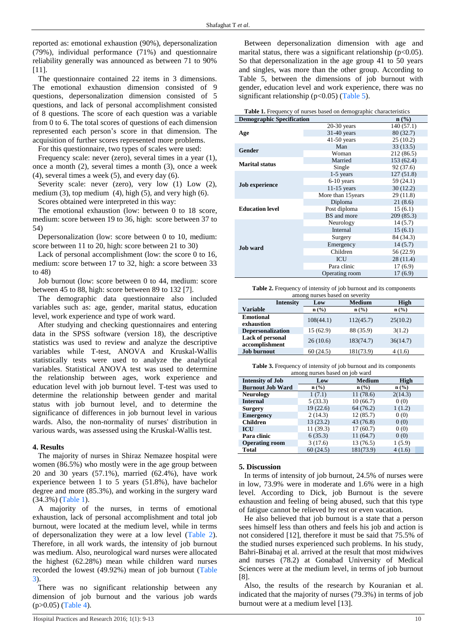reported as: emotional exhaustion (90%), depersonalization (79%), individual performance (71%) and questionnaire reliability generally was announced as between 71 to 90% [\[11\]](#page-3-10).

The questionnaire contained 22 items in 3 dimensions. The emotional exhaustion dimension consisted of 9 questions, depersonalization dimension consisted of 5 questions, and lack of personal accomplishment consisted of 8 questions. The score of each question was a variable from 0 to 6. The total scores of questions of each dimension represented each person's score in that dimension. The acquisition of further scores represented more problems.

For this questionnaire, two types of scales were used:

Frequency scale: never (zero), several times in a year (1), once a month (2), several times a month (3), once a week (4), several times a week (5), and every day (6).

Severity scale: never (zero), very low (1) Low (2), medium  $(3)$ , top medium  $(4)$ , high  $(5)$ , and very high  $(6)$ .

Scores obtained were interpreted in this way:

The emotional exhaustion (low: between 0 to 18 score, medium: score between 19 to 36, high: score between 37 to 54)

Depersonalization (low: score between 0 to 10, medium: score between 11 to 20, high: score between 21 to 30)

Lack of personal accomplishment (low: the score 0 to 16, medium: score between 17 to 32, high: a score between 33 to 48)

Job burnout (low: score between 0 to 44, medium: score between 45 to 88, high: score between 89 to 132 [7].

The demographic data questionnaire also included variables such as: age, gender, marital status, education level, work experience and type of work ward.

After studying and checking questionnaires and entering data in the SPSS software (version 18), the descriptive statistics was used to review and analyze the descriptive variables while T-test, ANOVA and Kruskal-Wallis statistically tests were used to analyze the analytical variables. Statistical ANOVA test was used to determine the relationship between ages, work experience and education level with job burnout level. T-test was used to determine the relationship between gender and marital status with job burnout level, and to determine the significance of differences in job burnout level in various wards. Also, the non-normality of nurses' distribution in various wards, was assessed using the Kruskal-Wallis test.

## **4. Results**

The majority of nurses in Shiraz Nemazee hospital were women (86.5%) who mostly were in the age group between 20 and 30 years (57.1%), married (62.4%), have work experience between 1 to 5 years (51.8%), have bachelor degree and more (85.3%), and working in the surgery ward (34.3%) [\(Table 1\)](#page-1-0).

A majority of the nurses, in terms of emotional exhaustion, lack of personal accomplishment and total job burnout, were located at the medium level, while in terms of depersonalization they were at a low level [\(Table 2\)](#page-1-1). Therefore, in all work wards, the intensity of job burnout was medium. Also, neurological ward nurses were allocated the highest (62.28%) mean while children ward nurses recorded the lowest (49.92%) mean of job burnout [\(Table](#page-1-2)  [3\)](#page-1-2).

There was no significant relationship between any dimension of job burnout and the various job wards  $(p>0.05)$  [\(Table 4\)](#page-2-0).

Between depersonalization dimension with age and marital status, there was a significant relationship  $(p<0.05)$ . So that depersonalization in the age group 41 to 50 years and singles, was more than the other group. According to Table 5, between the dimensions of job burnout with gender, education level and work experience, there was no significant relationship ( $p<0.05$ ) [\(Table 5\)](#page-2-1).

<span id="page-1-0"></span>

| Table 1. Frequency of nurses based on demographic characteristics |
|-------------------------------------------------------------------|
|-------------------------------------------------------------------|

| <b>Demographic Specification</b> |                    | $n$ (%)    |  |  |
|----------------------------------|--------------------|------------|--|--|
|                                  | $20-30$ years      | 140 (57.1) |  |  |
| Age                              | $31-40$ years      | 80 (32.7)  |  |  |
|                                  | $41-50$ years      | 25(10.2)   |  |  |
| Gender                           | Man                | 33(13.5)   |  |  |
|                                  | Woman              | 212 (86.5) |  |  |
| <b>Marital status</b>            | Married            | 153 (62.4) |  |  |
|                                  | Single             | 92 (37.6)  |  |  |
|                                  | $1-5$ years        | 127(51.8)  |  |  |
|                                  | $6-10$ years       | 59 (24.1)  |  |  |
| <b>Job</b> experience            | $11-15$ years      | 30(12.2)   |  |  |
|                                  | More than 15 years | 29(11.8)   |  |  |
|                                  | Diploma            | 21(8.6)    |  |  |
| <b>Education level</b>           | Post diploma       | 15(6.1)    |  |  |
|                                  | BS and more        | 209 (85.3) |  |  |
|                                  | Neurology          | 14(5.7)    |  |  |
|                                  | Internal           | 15(6.1)    |  |  |
|                                  | Surgery            | 84 (34.3)  |  |  |
|                                  | Emergency          | 14(5.7)    |  |  |
| Job ward                         | Children           | 56 (22.9)  |  |  |
|                                  | <b>ICU</b>         | 28 (11.4)  |  |  |
|                                  | Para clinic        | 17(6.9)    |  |  |
|                                  | Operating room     | 17(6.9)    |  |  |

<span id="page-1-1"></span>**Table 2.** Frequency of intensity of job burnout and its components among nurses based on severity

| alliong hurses based on severity   |                             |                             |                             |  |  |  |  |  |  |
|------------------------------------|-----------------------------|-----------------------------|-----------------------------|--|--|--|--|--|--|
| <b>Intensity</b>                   | Low                         | <b>High</b>                 |                             |  |  |  |  |  |  |
| <b>Variable</b>                    | $n\left(\frac{9}{6}\right)$ | $n\left(\frac{9}{6}\right)$ | $n\left(\frac{9}{6}\right)$ |  |  |  |  |  |  |
| <b>Emotional</b><br>exhaustion     | 108(44.1)                   | 112(45.7)                   | 25(10.2)                    |  |  |  |  |  |  |
| <b>Depersonalization</b>           | 15(62.9)                    | 88 (35.9)                   | 3(1.2)                      |  |  |  |  |  |  |
| Lack of personal<br>accomplishment | 26(10.6)                    | 183(74.7)                   | 36(14.7)                    |  |  |  |  |  |  |
| <b>Job burnout</b>                 | 60(24.5)                    | 181(73.9)                   | 4(1.6)                      |  |  |  |  |  |  |

<span id="page-1-2"></span>

| <b>Table 3.</b> Frequency of intensity of job burnout and its components |
|--------------------------------------------------------------------------|
| among nurses based on job ward                                           |

| among harses based on job ward |                  |                  |                             |  |  |  |  |  |
|--------------------------------|------------------|------------------|-----------------------------|--|--|--|--|--|
| <b>Intensity of Job</b>        | Low              | <b>Medium</b>    | High                        |  |  |  |  |  |
| <b>Burnout Job Ward</b>        | $\mathbf{n}(\%)$ | $\mathbf{n}(\%)$ | $n\left(\frac{9}{6}\right)$ |  |  |  |  |  |
| <b>Neurology</b>               | 1(7.1)           | 11(78.6)         | 2(14.3)                     |  |  |  |  |  |
| <b>Internal</b>                | 5(33.3)          | 10(66.7)         | 0(0)                        |  |  |  |  |  |
| <b>Surgery</b>                 | 19(22.6)         | 64 (76.2)        | 1(1.2)                      |  |  |  |  |  |
| <b>Emergency</b>               | 2(14.3)          | 12(85.7)         | 0(0)                        |  |  |  |  |  |
| <b>Children</b>                | 13(23.2)         | 43(76.8)         | 0(0)                        |  |  |  |  |  |
| ICU                            | 11 (39.3)        | 17(60.7)         | 0(0)                        |  |  |  |  |  |
| Para clinic                    | 6(35.3)          | 11(64.7)         | 0(0)                        |  |  |  |  |  |
| <b>Operating room</b>          | 3(17.6)          | 13 (76.5)        | 1(5.9)                      |  |  |  |  |  |
| Total                          | 60(24.5)         | 181(73.9)        | 4(1.6)                      |  |  |  |  |  |

## **5. Discussion**

In terms of intensity of job burnout, 24.5% of nurses were in low, 73.9% were in moderate and 1.6% were in a high level. According to Dick, job Burnout is the severe exhaustion and feeling of being abused, such that this type of fatigue cannot be relieved by rest or even vacation.

He also believed that job burnout is a state that a person sees himself less than others and feels his job and action is not considered [\[12\]](#page-3-11), therefore it must be said that 75.5% of the studied nurses experienced such problems. In his study, Bahri-Binabaj et al. arrived at the result that most midwives and nurses (78.2) at Gonabad University of Medical Sciences were at the medium level, in terms of job burnout [\[8\]](#page-3-7).

Also, the results of the research by Kouranian et al. indicated that the majority of nurses (79.3%) in terms of job burnout were at a medium level [\[13\]](#page-3-12).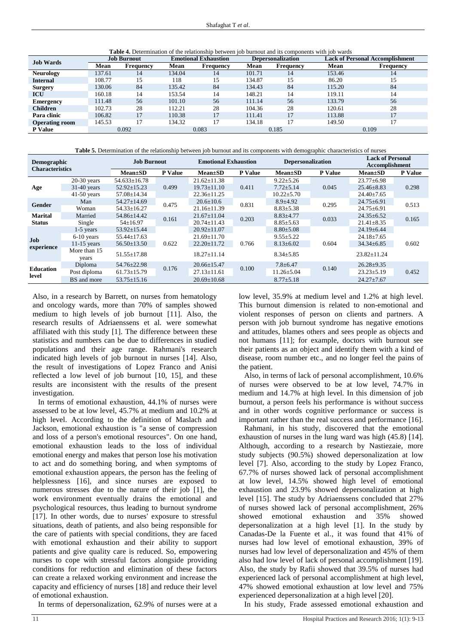**Table 4.** Determination of the relationship between job burnout and its components with job wards

<span id="page-2-0"></span>

| <b>Job Wards</b>      | <b>Job Burnout</b> |                         | <b>Emotional Exhaustion</b> |           | <b>Depersonalization</b> |                  | <b>Lack of Personal Accomplishment</b> |           |
|-----------------------|--------------------|-------------------------|-----------------------------|-----------|--------------------------|------------------|----------------------------------------|-----------|
|                       | Mean               | <b>Frequency</b>        | Mean                        | Frequency | Mean                     | <b>Frequency</b> | Mean                                   | Frequency |
| <b>Neurology</b>      | 137.61             | 14                      | 134.04                      | 14        | 101.71                   | 14               | 153.46                                 | 14        |
| <b>Internal</b>       | 108.77             | 15                      | 118                         | 15        | 134.87                   | 15               | 86.20                                  | 15        |
| <b>Surgery</b>        | 130.06             | 84                      | 135.42                      | 84        | 134.43                   | 84               | 115.20                                 | 84        |
| <b>ICU</b>            | 160.18             | 14                      | 153.54                      | 14        | 148.21                   | 14               | 119.11                                 | 14        |
| <b>Emergency</b>      | 111.48             | 56                      | 101.10                      | 56        | 111.14                   | 56               | 133.79                                 | 56        |
| <b>Children</b>       | 102.73             | 28                      | 112.21                      | 28        | 104.36                   | 28               | 120.61                                 | 28        |
| Para clinic           | 106.82             | 17                      | 110.38                      | 17        | 111.41                   | 17               | 113.88                                 | 17        |
| <b>Operating room</b> | 145.53             |                         | 134.32                      | 17        | 134.18                   | 17               | 149.50                                 | 17        |
| P Value               |                    | 0.092<br>0.083<br>0.185 |                             | 0.109     |                          |                  |                                        |           |

**Table 5.** Determination of the relationship between job burnout and its components with demographic characteristics of nurses

<span id="page-2-1"></span>

| <b>Demographic</b><br><b>Characteristics</b> |                       | <b>Job Burnout</b> |         | <b>Emotional Exhaustion</b> |         | <b>Depersonalization</b> |                | <b>Lack of Personal</b><br><b>Accomplishment</b> |                |
|----------------------------------------------|-----------------------|--------------------|---------|-----------------------------|---------|--------------------------|----------------|--------------------------------------------------|----------------|
|                                              |                       | $Mean \pm SD$      | P Value | $Mean \pm SD$               | P Value | $Mean \pm SD$            | <b>P</b> Value | $Mean \pm SD$                                    | <b>P</b> Value |
|                                              | $20-30$ years         | $54.633 \pm 16.78$ |         | $21.62 \pm 11.38$           |         | $9.22 \pm 5.26$          |                | $23.77 \pm 6.98$                                 |                |
| Age                                          | $31-40$ years         | $52.92 \pm 15.23$  | 0.499   | $19.73 \pm 11.10$           | 0.411   | $7.72 \pm 5.14$          | 0.045          | $25.46 \pm 8.83$                                 | 0.298          |
|                                              | $41-50$ years         | $57.08 \pm 14.34$  |         | $22.36 \pm 11.25$           |         | $10.22 \pm 5.70$         |                | $24.40 \pm 7.65$                                 |                |
| Gender                                       | Man                   | $54.27 \pm 14.69$  | 0.475   | $20.6 \pm 10.6$             | 0.831   | $8.9 + 4.92$             | 0.295          | $24.75 \pm 6.91$                                 | 0.513          |
|                                              | Woman                 | $54.33 \pm 16.27$  |         | $21.16 \pm 11.39$           |         | $8.83 \pm 5.38$          |                | $24.75 \pm 6.91$                                 |                |
| <b>Marital</b>                               | Married               | $54.86 \pm 14.42$  | 0.161   | $21.67 \pm 11.04$           | 0.203   | $8.83{\pm}4.77$          | 0.033          | $24.35 \pm 6.52$                                 | 0.165          |
| <b>Status</b>                                | Single                | $54 \pm 16.97$     |         | $20.74 \pm 11.43$           |         | $8.85 \pm 5.63$          |                | $21.41 \pm 8.35$                                 |                |
|                                              | $1-5$ years           | $53.92 \pm 15.44$  |         | $20.92 \pm 11.07$           |         | $8.80 \pm 5.08$          | 0.604          | $24.19 \pm 6.44$                                 | 0.602          |
| Job                                          | $6-10$ years          | $55.44 \pm 17.63$  |         | $21.69 \pm 11.70$           | 0.766   | $9.55 \pm 5.22$          |                | $24.18 \pm 7.65$                                 |                |
| experience                                   | $11-15$ years         | $56.50 \pm 13.50$  | 0.622   | $22.20 \pm 11.72$           |         | $8.13 \pm 6.02$          |                | $34.34 \pm 6.85$                                 |                |
|                                              | More than 15<br>years | $51.55 \pm 17.88$  |         | $18.27 \pm 11.14$           |         | $8.34 \pm 5.85$          |                | $23.82 \pm 11.24$                                |                |
| <b>Education</b><br>level                    | Diploma               | $54.76 \pm 22.98$  | 0.176   | $20.66 \pm 15.47$           | 0.100   | $7.8 \pm 6.47$           | 0.140          | $26.28 \pm 9.35$                                 | 0.452          |
|                                              | Post diploma          | $61.73 \pm 15.79$  |         | $27.13 \pm 11.61$           |         | $11.26 \pm 5.04$         |                | $23.23 \pm 5.19$                                 |                |
|                                              | BS and more           | $53.75 \pm 15.16$  |         | $20.69 \pm 10.68$           |         | $8.77 \pm 5.18$          |                | $24.27 \pm 7.67$                                 |                |

Also, in a research by Barrett, on nurses from hematology and oncology wards, more than 70% of samples showed medium to high levels of job burnout [\[11\]](#page-3-10). Also, the research results of Adriaenssens et al. were somewhat affiliated with this study [\[1\]](#page-3-0). The difference between these statistics and numbers can be due to differences in studied populations and their age range. Rahmani's research indicated high levels of job burnout in nurses [\[14\]](#page-3-13). Also, the result of investigations of Lopez Franco and Anisi reflected a low level of job burnout [\[10,](#page-3-9) [15\]](#page-3-14), and these results are inconsistent with the results of the present investigation.

In terms of emotional exhaustion, 44.1% of nurses were assessed to be at low level, 45.7% at medium and 10.2% at high level. According to the definition of Maslach and Jackson, emotional exhaustion is "a sense of compression and loss of a person's emotional resources". On one hand, emotional exhaustion leads to the loss of individual emotional energy and makes that person lose his motivation to act and do something boring, and when symptoms of emotional exhaustion appears, the person has the feeling of helplessness [\[16\]](#page-3-15), and since nurses are exposed to numerous stresses due to the nature of their job [\[1\]](#page-3-0), the work environment eventually drains the emotional and psychological resources, thus leading to burnout syndrome [\[17\]](#page-3-16). In other words, due to nurses' exposure to stressful situations, death of patients, and also being responsible for the care of patients with special conditions, they are faced with emotional exhaustion and their ability to support patients and give quality care is reduced. So, empowering nurses to cope with stressful factors alongside providing conditions for reduction and elimination of these factors can create a relaxed working environment and increase the capacity and efficiency of nurses [\[18\]](#page-4-0) and reduce their level of emotional exhaustion.

In terms of depersonalization, 62.9% of nurses were at a

low level, 35.9% at medium level and 1.2% at high level. This burnout dimension is related to non-emotional and violent responses of person on clients and partners. A person with job burnout syndrome has negative emotions and attitudes, blames others and sees people as objects and not humans [\[11\]](#page-3-10); for example, doctors with burnout see their patients as an object and identify them with a kind of disease, room number etc., and no longer feel the pains of the patient.

Also, in terms of lack of personal accomplishment, 10.6% of nurses were observed to be at low level, 74.7% in medium and 14.7% at high level. In this dimension of job burnout, a person feels his performance is without success and in other words cognitive performance or success is important rather than the real success and performance [\[16\]](#page-3-15).

Rahmani, in his study, discovered that the emotional exhaustion of nurses in the lung ward was high (45.8) [\[14\]](#page-3-13). Although, according to a research by Nastiezaie, more study subjects (90.5%) showed depersonalization at low level [\[7\]](#page-3-6). Also, according to the study by Lopez Franco, 67.7% of nurses showed lack of personal accomplishment at low level, 14.5% showed high level of emotional exhaustion and 23.9% showed depersonalization at high level [\[15\]](#page-3-14). The study by Adriaenssens concluded that 27% of nurses showed lack of personal accomplishment, 26% showed emotional exhaustion and 35% showed depersonalization at a high level [\[1\]](#page-3-0). In the study by Canadas-De la Fuente et al., it was found that 41% of nurses had low level of emotional exhaustion, 39% of nurses had low level of depersonalization and 45% of them also had low level of lack of personal accomplishment [\[19\]](#page-4-1). Also, the study by Rafii showed that 39.5% of nurses had experienced lack of personal accomplishment at high level, 47% showed emotional exhaustion at low level and 75% experienced depersonalization at a high level [\[20\]](#page-4-2).

In his study, Frade assessed emotional exhaustion and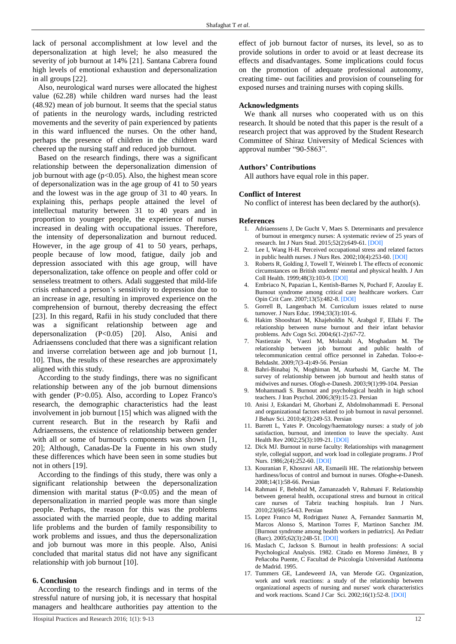lack of personal accomplishment at low level and the depersonalization at high level; he also measured the severity of job burnout at 14% [\[21\]](#page-4-3). Santana Cabrera found high levels of emotional exhaustion and depersonalization in all groups [\[22\]](#page-4-4).

Also, neurological ward nurses were allocated the highest value (62.28) while children ward nurses had the least (48.92) mean of job burnout. It seems that the special status of patients in the neurology wards, including restricted movements and the severity of pain experienced by patients in this ward influenced the nurses. On the other hand, perhaps the presence of children in the children ward cheered up the nursing staff and reduced job burnout.

Based on the research findings, there was a significant relationship between the depersonalization dimension of job burnout with age  $(p<0.05)$ . Also, the highest mean score of depersonalization was in the age group of 41 to 50 years and the lowest was in the age group of 31 to 40 years. In explaining this, perhaps people attained the level of intellectual maturity between 31 to 40 years and in proportion to younger people, the experience of nurses increased in dealing with occupational issues. Therefore, the intensity of depersonalization and burnout reduced. However, in the age group of 41 to 50 years, perhaps, people because of low mood, fatigue, daily job and depression associated with this age group, will have depersonalization, take offence on people and offer cold or senseless treatment to others. Adali suggested that mild-life crisis enhanced a person's sensitivity to depression due to an increase in age, resulting in improved experience on the comprehension of burnout, thereby decreasing the effect [\[23\]](#page-4-5). In this regard, Rafii in his study concluded that there was a significant relationship between age and depersonalization (P<0.05) [\[20\]](#page-4-2). Also, Anisi and Adriaenssens concluded that there was a significant relation and inverse correlation between age and job burnout [\[1,](#page-3-0) [10\]](#page-3-9). Thus, the results of these researches are approximately aligned with this study.

According to the study findings, there was no significant relationship between any of the job burnout dimensions with gender (P>0.05). Also, according to Lopez Franco's research, the demographic characteristics had the least involvement in job burnout [\[15\]](#page-3-14) which was aligned with the current research. But in the research by Rafii and Adriaenssens, the existence of relationship between gender with all or some of burnout's components was shown [\[1,](#page-3-0) [20\]](#page-4-2); Although, Canadas-De la Fuente in his own study these differences which have been seen in some studies but not in others [\[19\]](#page-4-1).

According to the findings of this study, there was only a significant relationship between the depersonalization dimension with marital status  $(P<0.05)$  and the mean of depersonalization in married people was more than single people. Perhaps, the reason for this was the problems associated with the married people, due to adding marital life problems and the burden of family responsibility to work problems and issues, and thus the depersonalization and job burnout was more in this people. Also, Anisi concluded that marital status did not have any significant relationship with job burnout [\[10\]](#page-3-9).

## **6. Conclusion**

According to the research findings and in terms of the stressful nature of nursing job, it is necessary that hospital managers and healthcare authorities pay attention to the

effect of job burnout factor of nurses, its level, so as to provide solutions in order to avoid or at least decrease its effects and disadvantages. Some implications could focus on the promotion of adequate professional autonomy, creating time- out facilities and provision of counseling for exposed nurses and training nurses with coping skills.

#### **Acknowledgments**

We thank all nurses who cooperated with us on this research. It should be noted that this paper is the result of a research project that was approved by the Student Research Committee of Shiraz University of Medical Sciences with approval number "90-5863".

## **Authors' Contributions**

All authors have equal role in this paper.

## **Conflict of Interest**

No conflict of interest has been declared by the author(s).

#### **References**

- <span id="page-3-0"></span>1. Adriaenssens J, De Gucht V, Maes S. Determinants and prevalence of burnout in emergency nurses: A systematic review of 25 years of research. Int J Nurs Stud. 2015;52(2):649-61. [\[DOI\]](http://dx.doi.org/10.1016/j.ijnurstu.2014.11.004)
- <span id="page-3-1"></span>2. Lee I, Wang H-H. Perceived occupational stress and related factors in public health nurses. J Nurs Res. 2002;10(4):253-60. [\[DOI\]](http://dx.doi.org/10.1097/01.JNR.0000347606.91295.76)
- <span id="page-3-2"></span>Roberts R, Golding J, Towell T, Weinreb I. The effects of economic circumstances on British students' mental and physical health. J Am Coll Health. 1999;48(3):103-9. [\[DOI\]](http://dx.doi.org/10.1080/07448489909595681)
- <span id="page-3-3"></span>4. Embriaco N, Papazian L, Kentish-Barnes N, Pochard F, Azoulay E. Burnout syndrome among critical care healthcare workers. Curr Opin Crit Care. 2007;13(5):482-8. [\[DOI\]](http://dx.doi.org/10.1097/MCC.0b013e3282efd28a)
- <span id="page-3-4"></span>5. Gorrell B, Langenbach M. Curriculum issues related to nurse turnover. J Nurs Educ. 1994;33(3):101-6.
- <span id="page-3-5"></span>6. Hakim Shooshtari M, Khajeholdin N, Arabgol F, Ellahi F. The relationship between nurse burnout and their infant behavior problems. Adv Cogn Sci. 2004;6(1-2):67-72.
- <span id="page-3-6"></span>7. Nastiezaie N, Vaezi M, Molazahi A, Moghadam M. The relationship between job burnout and public health of telecommunication central office personnel in Zahedan. Toloo-e-Behdasht. 2009;7(3-4):49-56. Persian
- <span id="page-3-7"></span>8. Bahri-Binabaj N, Moghiman M, Atarbashi M, Garche M. The survey of relationship between job burnout and health status of midwives and nurses. Ofogh-e-Danesh. 2003;9(1):99-104. Persian
- <span id="page-3-8"></span>9. Mohammadi S. Burnout and psychological health in high school teachers. J Iran Psychol.  $2006$ : $3(9)$ : 15-23. Persian
- <span id="page-3-9"></span>10. Anisi J, Eskandari M, Ghorbani Z, Abdolmohammadi E. Personal and organizational factors related to job burnout in naval personnel. J Behav Sci. 2010;4(3):249-53. Persian
- <span id="page-3-10"></span>11. Barrett L, Yates P. Oncology/haematology nurses: a study of job satisfaction, burnout, and intention to leave the specialty. Aust Health Rev 2002;25(3):109-21. [\[DOI\]](http://dx.doi.org/10.1071/AH020109)
- <span id="page-3-11"></span>12. Dick MJ. Burnout in nurse faculty: Relationships with management style, collegial support, and work load in collegiate programs. J Prof Nurs. 1986;2(4):252-60. [\[DOI\]](http://dx.doi.org/10.1016/S8755-7223(86)80047-3)
- <span id="page-3-12"></span>13. Kouranian F, Khosravi AR, Esmaeili HE. The relationship between hardiness/locus of control and burnout in nurses. Ofoghe-e-Danesh. 2008;14(1):58-66. Persian
- <span id="page-3-13"></span>14. Rahmani F, Behshid M, Zamanzadeh V, Rahmani F. Relationship between general health, occupational stress and burnout in critical care nurses of Tabriz teaching hospitals. Iran J Nurs. 2010;23(66):54-63. Persian
- <span id="page-3-14"></span>15. Lopez Franco M, Rodriguez Nunez A, Fernandez Sanmartin M, Marcos Alonso S, Martinon Torres F, Martinon Sanchez JM. [Burnout syndrome among health workers in pediatrics]. An Pediatr (Barc). 2005;62(3):248-51. [\[DOI\]](http://dx.doi.org/10.1157/13071839)
- <span id="page-3-15"></span>16. Maslach C, Jackson S. Burnout in health professions: A social Psychological Analysis. 1982. Citado en Moreno Jiménez, B y Peñacoba Puente, C Facultad de Psicología Universidad Autónoma de Madrid. 1995.
- <span id="page-3-16"></span>17. Tummers GE, Landeweerd JA, van Merode GG. Organization, work and work reactions: a study of the relationship between organizational aspects of nursing and nurses' work characteristics and work reactions. Scand J Car Sci. 2002;16(1):52-8. [\[DOI\]](http://dx.doi.org/10.1046/j.1471-6712.2002.00050.x)